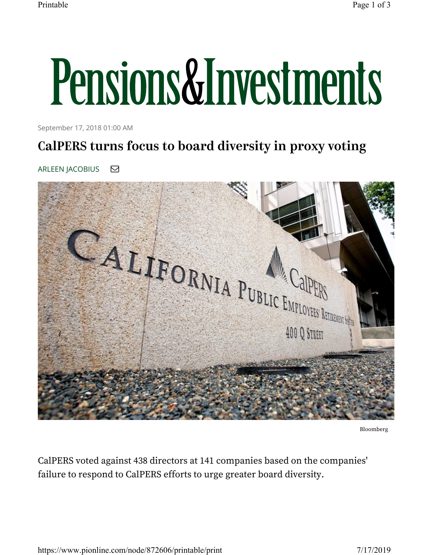## Pensions&Investments

September 17, 2018 01:00 AM

## CalPERS turns focus to board diversity in proxy voting

ARLEEN JACOBIUS **⊡** 



Bloomberg

CalPERS voted against 438 directors at 141 companies based on the companies' failure to respond to CalPERS efforts to urge greater board diversity.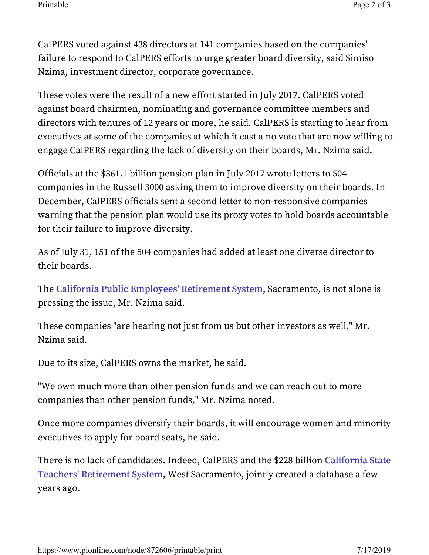CalPERS voted against 438 directors at 141 companies based on the companies' failure to respond to CalPERS efforts to urge greater board diversity, said Simiso Nzima, investment director, corporate governance.

These votes were the result of a new effort started in July 2017. CalPERS voted against board chairmen, nominating and governance committee members and directors with tenures of 12 years or more, he said. CalPERS is starting to hear from executives at some of the companies at which it cast a no vote that are now willing to engage CalPERS regarding the lack of diversity on their boards, Mr. Nzima said.

Officials at the \$361.1 billion pension plan in July 2017 wrote letters to 504 companies in the Russell 3000 asking them to improve diversity on their boards. In December, CalPERS officials sent a second letter to non-responsive companies warning that the pension plan would use its proxy votes to hold boards accountable for their failure to improve diversity.

As of July 31, 151 of the 504 companies had added at least one diverse director to their boards.

The **California Public Employees' Retirement System**, Sacramento, is not alone is pressing the issue, Mr. Nzima said.

These companies "are hearing not just from us but other investors as well," Mr. Nzima said.

Due to its size, CalPERS owns the market, he said.

"We own much more than other pension funds and we can reach out to more companies than other pension funds," Mr. Nzima noted.

Once more companies diversify their boards, it will encourage women and minority executives to apply for board seats, he said.

There is no lack of candidates. Indeed, CalPERS and the \$228 billion **California State Teachers' Retirement System**, West Sacramento, jointly created a database a few years ago.